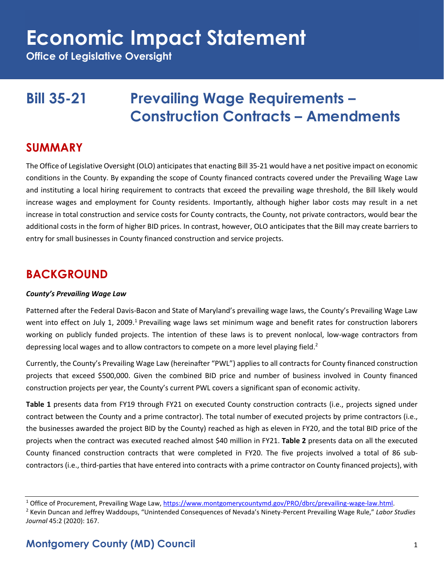**Office of Legislative Oversight**

### **Bill 35-21 Prevailing Wage Requirements – Construction Contracts – Amendments**

#### **SUMMARY**

The Office of Legislative Oversight (OLO) anticipates that enacting Bill 35-21 would have a net positive impact on economic conditions in the County. By expanding the scope of County financed contracts covered under the Prevailing Wage Law and instituting a local hiring requirement to contracts that exceed the prevailing wage threshold, the Bill likely would increase wages and employment for County residents. Importantly, although higher labor costs may result in a net increase in total construction and service costs for County contracts, the County, not private contractors, would bear the additional costs in the form of higher BID prices. In contrast, however, OLO anticipates that the Bill may create barriers to entry for small businesses in County financed construction and service projects.

#### **BACKGROUND**

#### *County's Prevailing Wage Law*

Patterned after the Federal Davis-Bacon and State of Maryland's prevailing wage laws, the County's Prevailing Wage Law went into effect on July 1, 2009.<sup>1</sup> Prevailing wage laws set minimum wage and benefit rates for construction laborers working on publicly funded projects. The intention of these laws is to prevent nonlocal, low-wage contractors from depressing local wages and to allow contractors to compete on a more level playing field.<sup>2</sup>

Currently, the County's Prevailing Wage Law (hereinafter "PWL") applies to all contracts for County financed construction projects that exceed \$500,000. Given the combined BID price and number of business involved in County financed construction projects per year, the County's current PWL covers a significant span of economic activity.

**Table 1** presents data from FY19 through FY21 on executed County construction contracts (i.e., projects signed under contract between the County and a prime contractor). The total number of executed projects by prime contractors (i.e., the businesses awarded the project BID by the County) reached as high as eleven in FY20, and the total BID price of the projects when the contract was executed reached almost \$40 million in FY21. **Table 2** presents data on all the executed County financed construction contracts that were completed in FY20. The five projects involved a total of 86 subcontractors (i.e., third-parties that have entered into contracts with a prime contractor on County financed projects), with

<sup>&</sup>lt;sup>1</sup> Office of Procurement, Prevailing Wage Law, [https://www.montgomerycountymd.gov/PRO/dbrc/prevailing-wage-law.html.](https://www.montgomerycountymd.gov/PRO/dbrc/prevailing-wage-law.html)

<sup>2</sup> Kevin Duncan and Jeffrey Waddoups, "Unintended Consequences of Nevada's Ninety-Percent Prevailing Wage Rule," *Labor Studies Journal* 45:2 (2020): 167.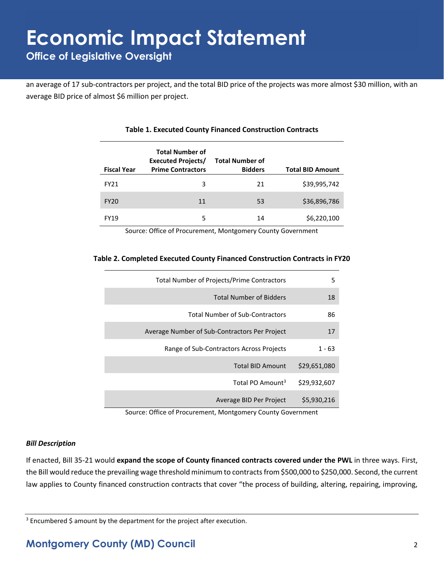an average of 17 sub-contractors per project, and the total BID price of the projects was more almost \$30 million, with an average BID price of almost \$6 million per project.

| <b>Fiscal Year</b> | <b>Total Number of</b><br><b>Executed Projects/</b><br><b>Prime Contractors</b> | <b>Total Number of</b><br><b>Bidders</b> | <b>Total BID Amount</b> |
|--------------------|---------------------------------------------------------------------------------|------------------------------------------|-------------------------|
| FY21               | 3                                                                               | 21                                       | \$39,995,742            |
| <b>FY20</b>        | 11                                                                              | 53                                       | \$36,896,786            |
| FY19               | 5                                                                               | 14                                       | \$6,220,100             |

#### **Table 1. Executed County Financed Construction Contracts**

Source: Office of Procurement, Montgomery County Government

#### **Table 2. Completed Executed County Financed Construction Contracts in FY20**

| Total Number of Projects/Prime Contractors    | 5            |
|-----------------------------------------------|--------------|
| <b>Total Number of Bidders</b>                | 18           |
| <b>Total Number of Sub-Contractors</b>        | 86           |
| Average Number of Sub-Contractors Per Project | 17           |
| Range of Sub-Contractors Across Projects      | 1 - 63       |
| <b>Total BID Amount</b>                       | \$29,651,080 |
| Total PO Amount <sup>3</sup>                  | \$29,932,607 |
| Average BID Per Project                       | \$5,930,216  |

Source: Office of Procurement, Montgomery County Government

#### *Bill Description*

If enacted, Bill 35-21 would **expand the scope of County financed contracts covered under the PWL** in three ways. First, the Bill would reduce the prevailing wage threshold minimum to contractsfrom \$500,000 to \$250,000. Second, the current law applies to County financed construction contracts that cover "the process of building, altering, repairing, improving,

<sup>&</sup>lt;sup>3</sup> Encumbered \$ amount by the department for the project after execution.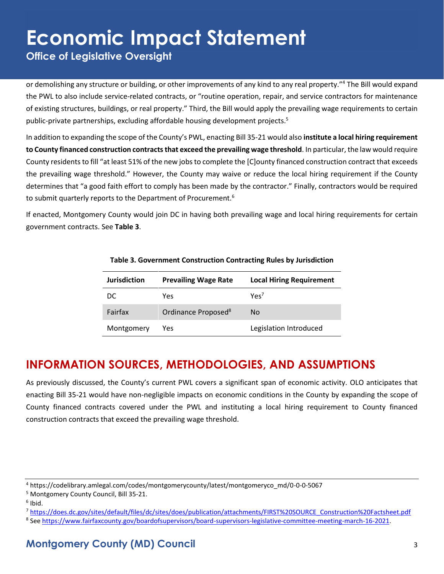**Office of Legislative Oversight**

or demolishing any structure or building, or other improvements of any kind to any real property."<sup>4</sup> The Bill would expand the PWL to also include service-related contracts, or "routine operation, repair, and service contractors for maintenance of existing structures, buildings, or real property." Third, the Bill would apply the prevailing wage requirements to certain public-private partnerships, excluding affordable housing development projects. 5

In addition to expanding the scope of the County's PWL, enacting Bill 35-21 would also **institute a local hiring requirement to County financed construction contractsthat exceed the prevailing wage threshold**. In particular, the law would require County residents to fill "at least 51% of the new jobs to complete the [C]ounty financed construction contract that exceeds the prevailing wage threshold." However, the County may waive or reduce the local hiring requirement if the County determines that "a good faith effort to comply has been made by the contractor." Finally, contractors would be required to submit quarterly reports to the Department of Procurement.<sup>6</sup>

If enacted, Montgomery County would join DC in having both prevailing wage and local hiring requirements for certain government contracts. See **Table 3**.

| <b>Jurisdiction</b> | <b>Prevailing Wage Rate</b>     | <b>Local Hiring Requirement</b> |
|---------------------|---------------------------------|---------------------------------|
| DC.                 | Yes                             | Yes <sup>7</sup>                |
| Fairfax             | Ordinance Proposed <sup>8</sup> | No                              |
| Montgomery          | Yes                             | Legislation Introduced          |

#### **Table 3. Government Construction Contracting Rules by Jurisdiction**

### **INFORMATION SOURCES, METHODOLOGIES, AND ASSUMPTIONS**

As previously discussed, the County's current PWL covers a significant span of economic activity. OLO anticipates that enacting Bill 35-21 would have non-negligible impacts on economic conditions in the County by expanding the scope of County financed contracts covered under the PWL and instituting a local hiring requirement to County financed construction contracts that exceed the prevailing wage threshold.

<sup>4</sup> https://codelibrary.amlegal.com/codes/montgomerycounty/latest/montgomeryco\_md/0-0-0-5067

<sup>5</sup> Montgomery County Council, Bill 35-21.

<sup>6</sup> Ibid.

<sup>7</sup> [https://does.dc.gov/sites/default/files/dc/sites/does/publication/attachments/FIRST%20SOURCE\\_Construction%20Factsheet.pdf](https://does.dc.gov/sites/default/files/dc/sites/does/publication/attachments/FIRST%20SOURCE_Construction%20Factsheet.pdf)

<sup>&</sup>lt;sup>8</sup> See [https://www.fairfaxcounty.gov/boardofsupervisors/board-supervisors-legislative-committee-meeting-march-16-2021.](https://www.fairfaxcounty.gov/boardofsupervisors/board-supervisors-legislative-committee-meeting-march-16-2021)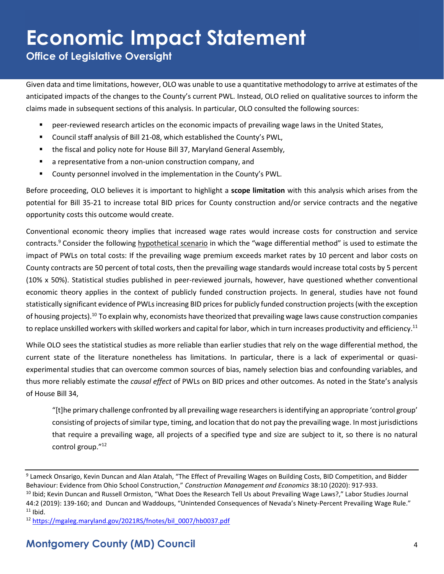**Office of Legislative Oversight**

Given data and time limitations, however, OLO was unable to use a quantitative methodology to arrive at estimates of the anticipated impacts of the changes to the County's current PWL. Instead, OLO relied on qualitative sources to inform the claims made in subsequent sections of this analysis. In particular, OLO consulted the following sources:

- peer-reviewed research articles on the economic impacts of prevailing wage laws in the United States,
- Council staff analysis of Bill 21-08, which established the County's PWL,
- the fiscal and policy note for House Bill 37, Maryland General Assembly,
- a representative from a non-union construction company, and
- County personnel involved in the implementation in the County's PWL.

Before proceeding, OLO believes it is important to highlight a **scope limitation** with this analysis which arises from the potential for Bill 35-21 to increase total BID prices for County construction and/or service contracts and the negative opportunity costs this outcome would create.

Conventional economic theory implies that increased wage rates would increase costs for construction and service contracts.<sup>9</sup> Consider the following hypothetical scenario in which the "wage differential method" is used to estimate the impact of PWLs on total costs: If the prevailing wage premium exceeds market rates by 10 percent and labor costs on County contracts are 50 percent of total costs, then the prevailing wage standards would increase total costs by 5 percent (10% x 50%). Statistical studies published in peer-reviewed journals, however, have questioned whether conventional economic theory applies in the context of publicly funded construction projects. In general, studies have not found statistically significant evidence of PWLs increasing BID prices for publicly funded construction projects (with the exception of housing projects).<sup>10</sup> To explain why, economists have theorized that prevailing wage laws cause construction companies to replace unskilled workers with skilled workers and capital for labor, which in turn increases productivity and efficiency.<sup>11</sup>

While OLO sees the statistical studies as more reliable than earlier studies that rely on the wage differential method, the current state of the literature nonetheless has limitations. In particular, there is a lack of experimental or quasiexperimental studies that can overcome common sources of bias, namely selection bias and confounding variables, and thus more reliably estimate the *causal effect* of PWLs on BID prices and other outcomes. As noted in the State's analysis of House Bill 34,

"[t]he primary challenge confronted by all prevailing wage researchers is identifying an appropriate 'control group' consisting of projects of similar type, timing, and location that do not pay the prevailing wage. In most jurisdictions that require a prevailing wage, all projects of a specified type and size are subject to it, so there is no natural control group." 12

<sup>&</sup>lt;sup>9</sup> Lameck Onsarigo, Kevin Duncan and Alan Atalah, "The Effect of Prevailing Wages on Building Costs, BID Competition, and Bidder Behaviour: Evidence from Ohio School Construction," *Construction Management and Economics* 38:10 (2020): 917-933. <sup>10</sup> Ibid; Kevin Duncan and Russell Ormiston, "What Does the Research Tell Us about Prevailing Wage Laws?," Labor Studies Journal

<sup>44:2 (2019): 139-160;</sup> and Duncan and Waddoups, "Unintended Consequences of Nevada's Ninety-Percent Prevailing Wage Rule."  $11$  Ibid.

<sup>12</sup> [https://mgaleg.maryland.gov/2021RS/fnotes/bil\\_0007/hb0037.pdf](https://mgaleg.maryland.gov/2021RS/fnotes/bil_0007/hb0037.pdf)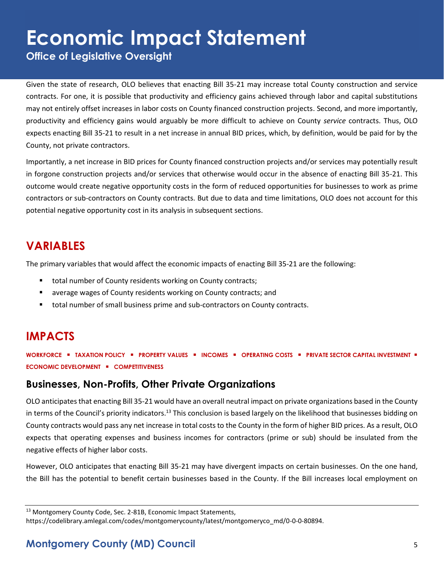**Office of Legislative Oversight**

Given the state of research, OLO believes that enacting Bill 35-21 may increase total County construction and service contracts. For one, it is possible that productivity and efficiency gains achieved through labor and capital substitutions may not entirely offset increases in labor costs on County financed construction projects. Second, and more importantly, productivity and efficiency gains would arguably be more difficult to achieve on County *service* contracts. Thus, OLO expects enacting Bill 35-21 to result in a net increase in annual BID prices, which, by definition, would be paid for by the County, not private contractors.

Importantly, a net increase in BID prices for County financed construction projects and/or services may potentially result in forgone construction projects and/or services that otherwise would occur in the absence of enacting Bill 35-21. This outcome would create negative opportunity costs in the form of reduced opportunities for businesses to work as prime contractors or sub-contractors on County contracts. But due to data and time limitations, OLO does not account for this potential negative opportunity cost in its analysis in subsequent sections.

### **VARIABLES**

The primary variables that would affect the economic impacts of enacting Bill 35-21 are the following:

- total number of County residents working on County contracts;
- average wages of County residents working on County contracts; and
- total number of small business prime and sub-contractors on County contracts.

### **IMPACTS**

**WORKFORCE** ▪ **TAXATION POLICY** ▪ **PROPERTY VALUES** ▪ **INCOMES** ▪ **OPERATING COSTS** ▪ **PRIVATE SECTOR CAPITAL INVESTMENT** ▪ **ECONOMIC DEVELOPMENT** ▪ **COMPETITIVENESS**

#### **Businesses, Non-Profits, Other Private Organizations**

OLO anticipates that enacting Bill 35-21 would have an overall neutral impact on private organizations based in the County in terms of the Council's priority indicators.<sup>13</sup> This conclusion is based largely on the likelihood that businesses bidding on County contracts would pass any net increase in total costs to the County in the form of higher BID prices. As a result, OLO expects that operating expenses and business incomes for contractors (prime or sub) should be insulated from the negative effects of higher labor costs.

However, OLO anticipates that enacting Bill 35-21 may have divergent impacts on certain businesses. On the one hand, the Bill has the potential to benefit certain businesses based in the County. If the Bill increases local employment on

<sup>&</sup>lt;sup>13</sup> Montgomery County Code, Sec. 2-81B, Economic Impact Statements, https://codelibrary.amlegal.com/codes/montgomerycounty/latest/montgomeryco\_md/0-0-0-80894.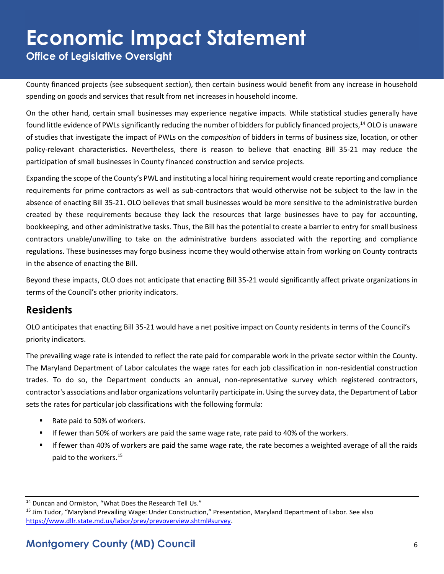**Office of Legislative Oversight**

County financed projects (see subsequent section), then certain business would benefit from any increase in household spending on goods and services that result from net increases in household income.

On the other hand, certain small businesses may experience negative impacts. While statistical studies generally have found little evidence of PWLs significantly reducing the number of bidders for publicly financed projects,<sup>14</sup> OLO is unaware of studies that investigate the impact of PWLs on the *composition* of bidders in terms of business size, location, or other policy-relevant characteristics. Nevertheless, there is reason to believe that enacting Bill 35-21 may reduce the participation of small businesses in County financed construction and service projects.

Expanding the scope of the County's PWL and instituting a local hiring requirement would create reporting and compliance requirements for prime contractors as well as sub-contractors that would otherwise not be subject to the law in the absence of enacting Bill 35-21. OLO believes that small businesses would be more sensitive to the administrative burden created by these requirements because they lack the resources that large businesses have to pay for accounting, bookkeeping, and other administrative tasks. Thus, the Bill has the potential to create a barrier to entry for small business contractors unable/unwilling to take on the administrative burdens associated with the reporting and compliance regulations. These businesses may forgo business income they would otherwise attain from working on County contracts in the absence of enacting the Bill.

Beyond these impacts, OLO does not anticipate that enacting Bill 35-21 would significantly affect private organizations in terms of the Council's other priority indicators.

#### **Residents**

OLO anticipates that enacting Bill 35-21 would have a net positive impact on County residents in terms of the Council's priority indicators.

The prevailing wage rate is intended to reflect the rate paid for comparable work in the private sector within the County. The Maryland Department of Labor calculates the wage rates for each job classification in non-residential construction trades. To do so, the Department conducts an annual, non-representative survey which registered contractors, contractor's associations and labor organizations voluntarily participate in. Using the survey data, the Department of Labor sets the rates for particular job classifications with the following formula:

- Rate paid to 50% of workers.
- If fewer than 50% of workers are paid the same wage rate, rate paid to 40% of the workers.
- If fewer than 40% of workers are paid the same wage rate, the rate becomes a weighted average of all the raids paid to the workers.<sup>15</sup>

<sup>14</sup> Duncan and Ormiston, "What Does the Research Tell Us."

<sup>15</sup> Jim Tudor, "Maryland Prevailing Wage: Under Construction," Presentation, Maryland Department of Labor. See also [https://www.dllr.state.md.us/labor/prev/prevoverview.shtml#survey.](https://www.dllr.state.md.us/labor/prev/prevoverview.shtml#survey)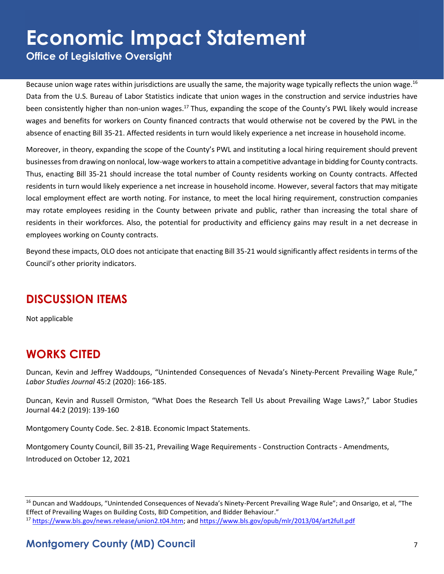**Office of Legislative Oversight**

Because union wage rates within jurisdictions are usually the same, the majority wage typically reflects the union wage.<sup>16</sup> Data from the U.S. Bureau of Labor Statistics indicate that union wages in the construction and service industries have been consistently higher than non-union wages.<sup>17</sup> Thus, expanding the scope of the County's PWL likely would increase wages and benefits for workers on County financed contracts that would otherwise not be covered by the PWL in the absence of enacting Bill 35-21. Affected residents in turn would likely experience a net increase in household income.

Moreover, in theory, expanding the scope of the County's PWL and instituting a local hiring requirement should prevent businesses from drawing on nonlocal, low-wage workers to attain a competitive advantage in bidding for County contracts. Thus, enacting Bill 35-21 should increase the total number of County residents working on County contracts. Affected residents in turn would likely experience a net increase in household income. However, several factors that may mitigate local employment effect are worth noting. For instance, to meet the local hiring requirement, construction companies may rotate employees residing in the County between private and public, rather than increasing the total share of residents in their workforces. Also, the potential for productivity and efficiency gains may result in a net decrease in employees working on County contracts.

Beyond these impacts, OLO does not anticipate that enacting Bill 35-21 would significantly affect residents in terms of the Council's other priority indicators.

#### **DISCUSSION ITEMS**

Not applicable

#### **WORKS CITED**

Duncan, Kevin and Jeffrey Waddoups, "Unintended Consequences of Nevada's Ninety-Percent Prevailing Wage Rule," *Labor Studies Journal* 45:2 (2020): 166-185.

Duncan, Kevin and Russell Ormiston, "What Does the Research Tell Us about Prevailing Wage Laws?," Labor Studies Journal 44:2 (2019): 139-160

Montgomery County Code. Sec. 2-81B. Economic Impact Statements.

Montgomery County Council, Bill 35-21, Prevailing Wage Requirements - Construction Contracts - Amendments, Introduced on October 12, 2021

<sup>&</sup>lt;sup>16</sup> Duncan and Waddoups, "Unintended Consequences of Nevada's Ninety-Percent Prevailing Wage Rule"; and Onsarigo, et al, "The Effect of Prevailing Wages on Building Costs, BID Competition, and Bidder Behaviour."

<sup>17</sup> [https://www.bls.gov/news.release/union2.t04.htm;](https://www.bls.gov/news.release/union2.t04.htm) and<https://www.bls.gov/opub/mlr/2013/04/art2full.pdf>